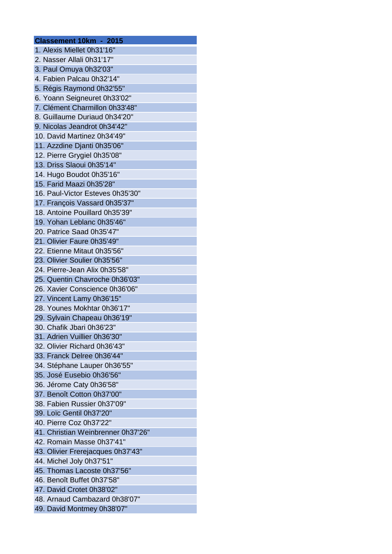| Classement 10km - 2015             |
|------------------------------------|
| 1. Alexis Miellet 0h31'16"         |
| 2. Nasser Allali 0h31'17"          |
| 3. Paul Omuya 0h32'03"             |
| 4. Fabien Palcau 0h32'14"          |
| 5. Régis Raymond 0h32'55"          |
| 6. Yoann Seigneuret 0h33'02"       |
| 7. Clément Charmillon 0h33'48"     |
| 8. Guillaume Duriaud 0h34'20"      |
| 9. Nicolas Jeandrot 0h34'42"       |
| 10. David Martinez 0h34'49"        |
| 11. Azzdine Djanti 0h35'06"        |
| 12. Pierre Grygiel 0h35'08"        |
| 13. Driss Slaoui 0h35'14"          |
| 14. Hugo Boudot 0h35'16"           |
| 15. Farid Maazi 0h35'28"           |
|                                    |
| 16. Paul-Victor Esteves 0h35'30"   |
| 17. François Vassard 0h35'37"      |
| 18. Antoine Pouillard 0h35'39"     |
| 19. Yohan Leblanc 0h35'46"         |
| 20. Patrice Saad 0h35'47"          |
| 21. Olivier Faure 0h35'49"         |
| 22. Etienne Mitaut 0h35'56"        |
| 23. Olivier Soulier 0h35'56"       |
| 24. Pierre-Jean Alix 0h35'58"      |
| 25. Quentin Chavroche 0h36'03"     |
| 26. Xavier Conscience 0h36'06"     |
| 27. Vincent Lamy 0h36'15"          |
| 28. Younes Mokhtar 0h36'17"        |
| 29. Sylvain Chapeau 0h36'19"       |
| 30. Chafik Jbari 0h36'23"          |
| 31. Adrien Vuillier 0h36'30"       |
| 32. Olivier Richard 0h36'43"       |
| 33. Franck Delree 0h36'44"         |
| 34. Stéphane Lauper 0h36'55"       |
| 35. José Eusebio 0h36'56"          |
| 36. Jérome Caty 0h36'58"           |
| 37. Benoît Cotton 0h37'00"         |
| 38. Fabien Russier 0h37'09"        |
| 39. Loïc Gentil 0h37'20"           |
| 40. Pierre Coz 0h37'22"            |
| 41. Christian Weinbrenner 0h37'26" |
| 42. Romain Masse 0h37'41"          |
| 43. Olivier Frerejacques 0h37'43"  |
| 44. Michel Joly 0h37'51"           |
| 45. Thomas Lacoste 0h37'56"        |
| 46. Benoît Buffet 0h37'58"         |
| 47. David Crotet 0h38'02"          |
| 48. Arnaud Cambazard 0h38'07"      |
|                                    |
| 49. David Montmey 0h38'07"         |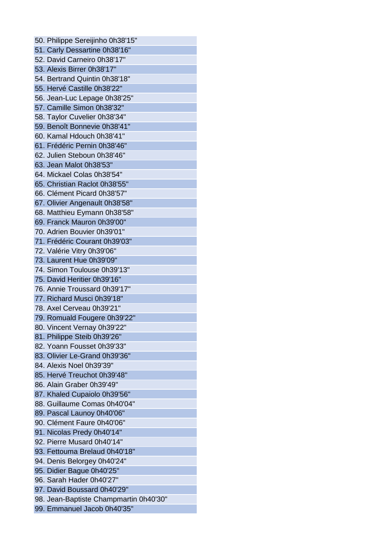50. Philippe Sereijinho 0h38'15" 51. Carly Dessartine 0h38'16" 52. David Carneiro 0h38'17" 53. Alexis Birrer 0h38'17" 54. Bertrand Quintin 0h38'18" 55. Hervé Castille 0h38'22" 56. Jean-Luc Lepage 0h38'25" 57. Camille Simon 0h38'32" 58. Taylor Cuvelier 0h38'34" 59. Benoît Bonnevie 0h38'41" 60. Kamal Hdouch 0h38'41" 61. Frédéric Pernin 0h38'46" 62. Julien Steboun 0h38'46" 63. Jean Malot 0h38'53" 64. Mickael Colas 0h38'54" 65. Christian Raclot 0h38'55" 66. Clément Picard 0h38'57" 67. Olivier Angenault 0h38'58" 68. Matthieu Eymann 0h38'58" 69. Franck Mauron 0h39'00" 70. Adrien Bouvier 0h39'01" 71. Frédéric Courant 0h39'03" 72. Valérie Vitry 0h39'06" 73. Laurent Hue 0h39'09" 74. Simon Toulouse 0h39'13" 75. David Heritier 0h39'16" 76. Annie Troussard 0h39'17" 77. Richard Musci 0h39'18" 78. Axel Cerveau 0h39'21" 79. Romuald Fougere 0h39'22" 80. Vincent Vernay 0h39'22" 81. Philippe Steib 0h39'26" 82. Yoann Fousset 0h39'33" 83. Olivier Le-Grand 0h39'36" 84. Alexis Noel 0h39'39" 85. Hervé Treuchot 0h39'48" 86. Alain Graber 0h39'49" 87. Khaled Cupaiolo 0h39'56" 88. Guillaume Comas 0h40'04" 89. Pascal Launoy 0h40'06" 90. Clément Faure 0h40'06" 91. Nicolas Predy 0h40'14" 92. Pierre Musard 0h40'14" 93. Fettouma Brelaud 0h40'18" 94. Denis Belorgey 0h40'24" 95. Didier Bague 0h40'25" 96. Sarah Hader 0h40'27" 97. David Boussard 0h40'29" 98. Jean-Baptiste Champmartin 0h40'30" 99. Emmanuel Jacob 0h40'35"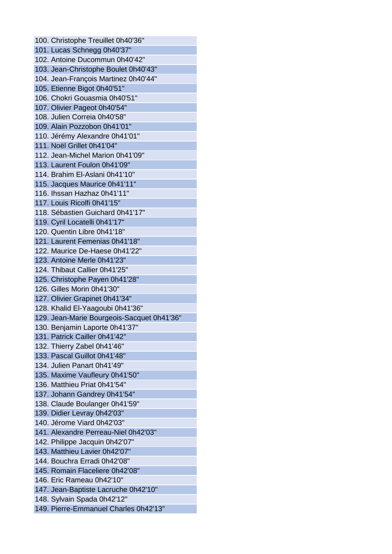100. Christophe Treuillet 0h40'36" 101. Lucas Schnegg 0h40'37" 102. Antoine Ducommun 0h40'42" 103. Jean-Christophe Boulet 0h40'43" 104. Jean-François Martinez 0h40'44" 105. Etienne Bigot 0h40'51" 106. Chokri Gouasmia 0h40'51" 107. Olivier Pageot 0h40'54" 108. Julien Correia 0h40'58" 109. Alain Pozzobon 0h41'01" 110. Jérémy Alexandre 0h41'01" 111. Noël Grillet 0h41'04" 112. Jean-Michel Marion 0h41'09" 113. Laurent Foulon 0h41'09" 114. Brahim El-Aslani 0h41'10" 115. Jacques Maurice 0h41'11" 116. Ihssan Hazhaz 0h41'11" 117. Louis Ricolfi 0h41'15" 118. Sébastien Guichard 0h41'17" 119. Cyril Locatelli 0h41'17" 120. Quentin Libre 0h41'18" 121. Laurent Femenias 0h41'18" 122. Maurice De-Haese 0h41'22" 123. Antoine Merle 0h41'23" 124. Thibaut Callier 0h41'25" 125. Christophe Payen 0h41'28" 126. Gilles Morin 0h41'30" 127. Olivier Grapinet 0h41'34" 128. Khalid El-Yaagoubi 0h41'36" 129. Jean-Marie Bourgeois-Sacquet 0h41'36" 130. Benjamin Laporte 0h41'37" 131. Patrick Cailler 0h41'42" 132. Thierry Zabel 0h41'46" 133. Pascal Guillot 0h41'48" 134. Julien Panart 0h41'49" 135. Maxime Vaufleury 0h41'50" 136. Matthieu Priat 0h41'54" 137. Johann Gandrey 0h41'54" 138. Claude Boulanger 0h41'59" 139. Didier Levray 0h42'03" 140. Jérome Viard 0h42'03" 141. Alexandre Perreau-Niel 0h42'03" 142. Philippe Jacquin 0h42'07" 143. Matthieu Lavier 0h42'07" 144. Bouchra Erradi 0h42'08" 145. Romain Flaceliere 0h42'08" 146. Eric Rameau 0h42'10" 147. Jean-Baptiste Lacruche 0h42'10" 148. Sylvain Spada 0h42'12" 149. Pierre-Emmanuel Charles 0h42'13"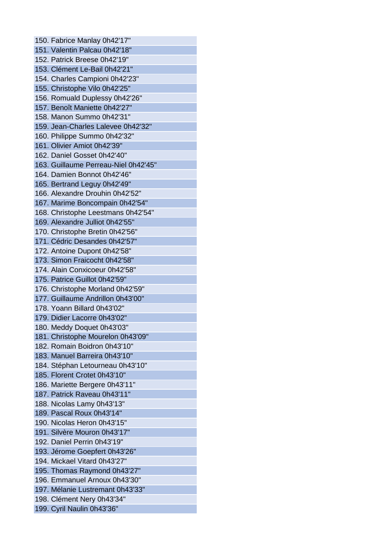150. Fabrice Manlay 0h42'17" 151. Valentin Palcau 0h42'18" 152. Patrick Breese 0h42'19" 153. Clément Le-Bail 0h42'21" 154. Charles Campioni 0h42'23" 155. Christophe Vilo 0h42'25" 156. Romuald Duplessy 0h42'26" 157. Benoît Maniette 0h42'27" 158. Manon Summo 0h42'31" 159. Jean-Charles Lalevee 0h42'32" 160. Philippe Summo 0h42'32" 161. Olivier Amiot 0h42'39" 162. Daniel Gosset 0h42'40" 163. Guillaume Perreau-Niel 0h42'45" 164. Damien Bonnot 0h42'46" 165. Bertrand Leguy 0h42'49" 166. Alexandre Drouhin 0h42'52" 167. Marime Boncompain 0h42'54" 168. Christophe Leestmans 0h42'54" 169. Alexandre Julliot 0h42'55" 170. Christophe Bretin 0h42'56" 171. Cédric Desandes 0h42'57" 172. Antoine Dupont 0h42'58" 173. Simon Fraicocht 0h42'58" 174. Alain Conxicoeur 0h42'58" 175. Patrice Guillot 0h42'59" 176. Christophe Morland 0h42'59" 177. Guillaume Andrillon 0h43'00" 178. Yoann Billard 0h43'02" 179. Didier Lacorre 0h43'02" 180. Meddy Doquet 0h43'03" 181. Christophe Mourelon 0h43'09" 182. Romain Boidron 0h43'10" 183. Manuel Barreira 0h43'10" 184. Stéphan Letourneau 0h43'10" 185. Florent Crotet 0h43'10" 186. Mariette Bergere 0h43'11" 187. Patrick Raveau 0h43'11" 188. Nicolas Lamy 0h43'13" 189. Pascal Roux 0h43'14" 190. Nicolas Heron 0h43'15" 191. Silvère Mouron 0h43'17" 192. Daniel Perrin 0h43'19" 193. Jérome Goepfert 0h43'26" 194. Mickael Vitard 0h43'27" 195. Thomas Raymond 0h43'27" 196. Emmanuel Arnoux 0h43'30" 197. Mélanie Lustremant 0h43'33" 198. Clément Nery 0h43'34" 199. Cyril Naulin 0h43'36"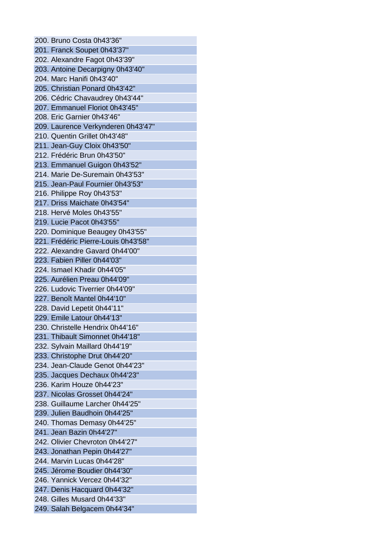200. Bruno Costa 0h43'36" 201. Franck Soupet 0h43'37" 202. Alexandre Fagot 0h43'39" 203. Antoine Decarpigny 0h43'40" 204. Marc Hanifi 0h43'40" 205. Christian Ponard 0h43'42" 206. Cédric Chavaudrey 0h43'44" 207. Emmanuel Floriot 0h43'45" 208. Eric Garnier 0h43'46" 209. Laurence Verkynderen 0h43'47" 210. Quentin Grillet 0h43'48" 211. Jean-Guy Cloix 0h43'50" 212. Frédéric Brun 0h43'50" 213. Emmanuel Guigon 0h43'52" 214. Marie De-Suremain 0h43'53" 215. Jean-Paul Fournier 0h43'53" 216. Philippe Roy 0h43'53" 217. Driss Maichate 0h43'54" 218. Hervé Moles 0h43'55" 219. Lucie Pacot 0h43'55" 220. Dominique Beaugey 0h43'55" 221. Frédéric Pierre-Louis 0h43'58" 222. Alexandre Gavard 0h44'00" 223. Fabien Piller 0h44'03" 224. Ismael Khadir 0h44'05" 225. Aurélien Preau 0h44'09" 226. Ludovic Tiverrier 0h44'09" 227. Benoît Mantel 0h44'10" 228. David Lepetit 0h44'11" 229. Emile Latour 0h44'13" 230. Christelle Hendrix 0h44'16" 231. Thibault Simonnet 0h44'18" 232. Sylvain Maillard 0h44'19" 233. Christophe Drut 0h44'20" 234. Jean-Claude Genot 0h44'23" 235. Jacques Dechaux 0h44'23" 236. Karim Houze 0h44'23" 237. Nicolas Grosset 0h44'24" 238. Guillaume Larcher 0h44'25" 239. Julien Baudhoin 0h44'25" 240. Thomas Demasy 0h44'25" 241. Jean Bazin 0h44'27" 242. Olivier Chevroton 0h44'27" 243. Jonathan Pepin 0h44'27" 244. Marvin Lucas 0h44'28" 245. Jérome Boudier 0h44'30" 246. Yannick Vercez 0h44'32" 247. Denis Hacquard 0h44'32" 248. Gilles Musard 0h44'33" 249. Salah Belgacem 0h44'34"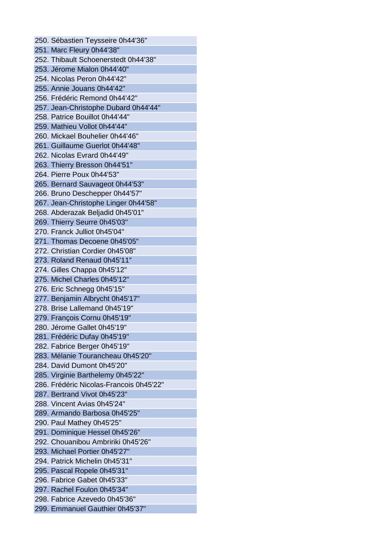250. Sébastien Teysseire 0h44'36" 251. Marc Fleury 0h44'38" 252. Thibault Schoenerstedt 0h44'38" 253. Jérome Mialon 0h44'40" 254. Nicolas Peron 0h44'42" 255. Annie Jouans 0h44'42" 256. Frédéric Remond 0h44'42" 257. Jean-Christophe Dubard 0h44'44" 258. Patrice Bouillot 0h44'44" 259. Mathieu Vollot 0h44'44" 260. Mickael Bouhelier 0h44'46" 261. Guillaume Guerlot 0h44'48" 262. Nicolas Evrard 0h44'49" 263. Thierry Bresson 0h44'51" 264. Pierre Poux 0h44'53" 265. Bernard Sauvageot 0h44'53" 266. Bruno Deschepper 0h44'57" 267. Jean-Christophe Linger 0h44'58" 268. Abderazak Beljadid 0h45'01" 269. Thierry Seurre 0h45'03" 270. Franck Julliot 0h45'04" 271. Thomas Decoene 0h45'05" 272. Christian Cordier 0h45'08" 273. Roland Renaud 0h45'11" 274. Gilles Chappa 0h45'12" 275. Michel Charles 0h45'12" 276. Eric Schnegg 0h45'15" 277. Benjamin Albrycht 0h45'17" 278. Brise Lallemand 0h45'19" 279. François Cornu 0h45'19" 280. Jérome Gallet 0h45'19" 281. Frédéric Dufay 0h45'19" 282. Fabrice Berger 0h45'19" 283. Mélanie Tourancheau 0h45'20" 284. David Dumont 0h45'20" 285. Virginie Barthelemy 0h45'22" 286. Frédéric Nicolas-Francois 0h45'22" 287. Bertrand Vivot 0h45'23" 288. Vincent Avias 0h45'24" 289. Armando Barbosa 0h45'25" 290. Paul Mathey 0h45'25" 291. Dominique Hessel 0h45'26" 292. Chouanibou Ambririki 0h45'26" 293. Michael Portier 0h45'27" 294. Patrick Michelin 0h45'31" 295. Pascal Ropele 0h45'31" 296. Fabrice Gabet 0h45'33" 297. Rachel Foulon 0h45'34" 298. Fabrice Azevedo 0h45'36" 299. Emmanuel Gauthier 0h45'37"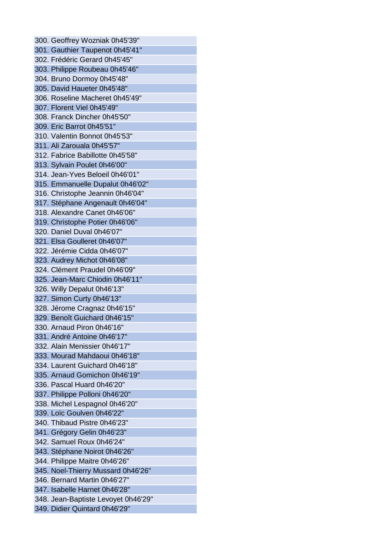300. Geoffrey Wozniak 0h45'39" 301. Gauthier Taupenot 0h45'41" 302. Frédéric Gerard 0h45'45" 303. Philippe Roubeau 0h45'46" 304. Bruno Dormoy 0h45'48" 305. David Haueter 0h45'48" 306. Roseline Macheret 0h45'49" 307. Florent Viel 0h45'49" 308. Franck Dincher 0h45'50" 309. Eric Barrot 0h45'51" 310. Valentin Bonnot 0h45'53" 311. Ali Zarouala 0h45'57" 312. Fabrice Babillotte 0h45'58" 313. Sylvain Poulet 0h46'00" 314. Jean-Yves Beloeil 0h46'01" 315. Emmanuelle Dupalut 0h46'02" 316. Christophe Jeannin 0h46'04" 317. Stéphane Angenault 0h46'04" 318. Alexandre Canet 0h46'06" 319. Christophe Potier 0h46'06" 320. Daniel Duval 0h46'07" 321. Elsa Goulleret 0h46'07" 322. Jérémie Cidda 0h46'07" 323. Audrey Michot 0h46'08" 324. Clément Praudel 0h46'09" 325. Jean-Marc Chiodin 0h46'11" 326. Willy Depalut 0h46'13" 327. Simon Curty 0h46'13" 328. Jérome Cragnaz 0h46'15" 329. Benoît Guichard 0h46'15" 330. Arnaud Piron 0h46'16" 331. André Antoine 0h46'17" 332. Alain Menissier 0h46'17" 333. Mourad Mahdaoui 0h46'18" 334. Laurent Guichard 0h46'18" 335. Arnaud Gomichon 0h46'19" 336. Pascal Huard 0h46'20" 337. Philippe Polloni 0h46'20" 338. Michel Lespagnol 0h46'20" 339. Loïc Goulven 0h46'22" 340. Thibaud Pistre 0h46'23" 341. Grégory Gelin 0h46'23" 342. Samuel Roux 0h46'24" 343. Stéphane Noirot 0h46'26" 344. Philippe Maitre 0h46'26" 345. Noel-Thierry Mussard 0h46'26" 346. Bernard Martin 0h46'27" 347. Isabelle Harnet 0h46'28" 348. Jean-Baptiste Levoyet 0h46'29" 349. Didier Quintard 0h46'29"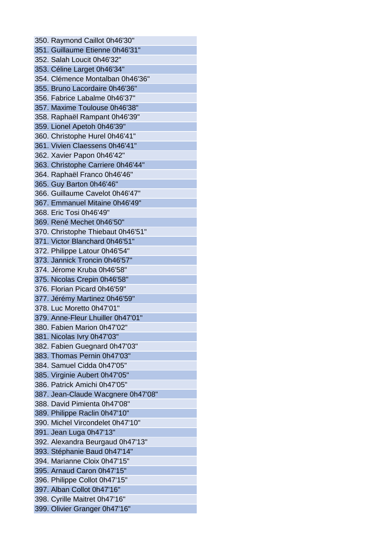350. Raymond Caillot 0h46'30" 351. Guillaume Etienne 0h46'31" 352. Salah Loucit 0h46'32" 353. Céline Larget 0h46'34" 354. Clémence Montalban 0h46'36" 355. Bruno Lacordaire 0h46'36" 356. Fabrice Labalme 0h46'37" 357. Maxime Toulouse 0h46'38" 358. Raphaël Rampant 0h46'39" 359. Lionel Apetoh 0h46'39" 360. Christophe Hurel 0h46'41" 361. Vivien Claessens 0h46'41" 362. Xavier Papon 0h46'42" 363. Christophe Carriere 0h46'44" 364. Raphaël Franco 0h46'46" 365. Guy Barton 0h46'46" 366. Guillaume Cavelot 0h46'47" 367. Emmanuel Mitaine 0h46'49" 368. Eric Tosi 0h46'49" 369. René Mechet 0h46'50" 370. Christophe Thiebaut 0h46'51" 371. Victor Blanchard 0h46'51" 372. Philippe Latour 0h46'54" 373. Jannick Troncin 0h46'57" 374. Jérome Kruba 0h46'58" 375. Nicolas Crepin 0h46'58" 376. Florian Picard 0h46'59" 377. Jérémy Martinez 0h46'59" 378. Luc Moretto 0h47'01" 379. Anne-Fleur Lhuiller 0h47'01" 380. Fabien Marion 0h47'02" 381. Nicolas Ivry 0h47'03" 382. Fabien Guegnard 0h47'03" 383. Thomas Pernin 0h47'03" 384. Samuel Cidda 0h47'05" 385. Virginie Aubert 0h47'05" 386. Patrick Amichi 0h47'05" 387. Jean-Claude Wacgnere 0h47'08" 388. David Pimienta 0h47'08" 389. Philippe Raclin 0h47'10" 390. Michel Vircondelet 0h47'10" 391. Jean Luga 0h47'13" 392. Alexandra Beurgaud 0h47'13" 393. Stéphanie Baud 0h47'14" 394. Marianne Cloix 0h47'15" 395. Arnaud Caron 0h47'15" 396. Philippe Collot 0h47'15" 397. Alban Collot 0h47'16" 398. Cyrille Maitret 0h47'16" 399. Olivier Granger 0h47'16"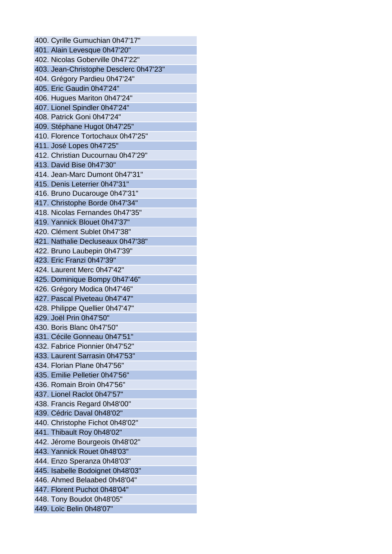400. Cyrille Gumuchian 0h47'17" 401. Alain Levesque 0h47'20" 402. Nicolas Goberville 0h47'22" 403. Jean-Christophe Desclerc 0h47'23" 404. Grégory Pardieu 0h47'24" 405. Eric Gaudin 0h47'24" 406. Hugues Mariton 0h47'24" 407. Lionel Spindler 0h47'24" 408. Patrick Goni 0h47'24" 409. Stéphane Hugot 0h47'25" 410. Florence Tortochaux 0h47'25" 411. José Lopes 0h47'25" 412. Christian Ducournau 0h47'29" 413. David Bise 0h47'30" 414. Jean-Marc Dumont 0h47'31" 415. Denis Leterrier 0h47'31" 416. Bruno Ducarouge 0h47'31" 417. Christophe Borde 0h47'34" 418. Nicolas Fernandes 0h47'35" 419. Yannick Blouet 0h47'37" 420. Clément Sublet 0h47'38" 421. Nathalie Decluseaux 0h47'38" 422. Bruno Laubepin 0h47'39" 423. Eric Franzi 0h47'39" 424. Laurent Merc 0h47'42" 425. Dominique Bompy 0h47'46" 426. Grégory Modica 0h47'46" 427. Pascal Piveteau 0h47'47" 428. Philippe Quellier 0h47'47" 429. Joël Prin 0h47'50" 430. Boris Blanc 0h47'50" 431. Cécile Gonneau 0h47'51" 432. Fabrice Pionnier 0h47'52" 433. Laurent Sarrasin 0h47'53" 434. Florian Plane 0h47'56" 435. Emilie Pelletier 0h47'56" 436. Romain Broin 0h47'56" 437. Lionel Raclot 0h47'57" 438. Francis Regard 0h48'00" 439. Cédric Daval 0h48'02" 440. Christophe Fichot 0h48'02" 441. Thibault Roy 0h48'02" 442. Jérome Bourgeois 0h48'02" 443. Yannick Rouet 0h48'03" 444. Enzo Speranza 0h48'03" 445. Isabelle Bodoignet 0h48'03" 446. Ahmed Belaabed 0h48'04" 447. Florent Puchot 0h48'04" 448. Tony Boudot 0h48'05" 449. Loïc Belin 0h48'07"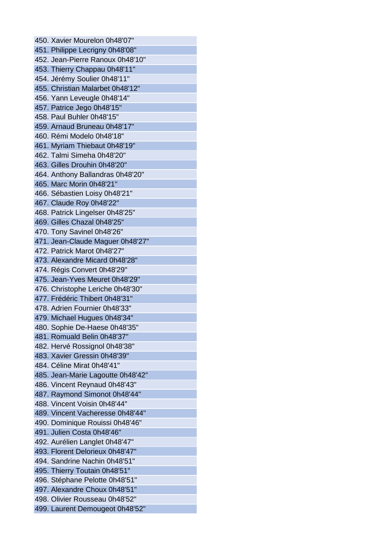450. Xavier Mourelon 0h48'07" 451. Philippe Lecrigny 0h48'08" 452. Jean-Pierre Ranoux 0h48'10" 453. Thierry Chappau 0h48'11" 454. Jérémy Soulier 0h48'11" 455. Christian Malarbet 0h48'12" 456. Yann Leveugle 0h48'14" 457. Patrice Jego 0h48'15" 458. Paul Buhler 0h48'15" 459. Arnaud Bruneau 0h48'17" 460. Rémi Modelo 0h48'18" 461. Myriam Thiebaut 0h48'19" 462. Talmi Simeha 0h48'20" 463. Gilles Drouhin 0h48'20" 464. Anthony Ballandras 0h48'20" 465. Marc Morin 0h48'21" 466. Sébastien Loisy 0h48'21" 467. Claude Roy 0h48'22" 468. Patrick Lingelser 0h48'25" 469. Gilles Chazal 0h48'25" 470. Tony Savinel 0h48'26" 471. Jean-Claude Maguer 0h48'27" 472. Patrick Marot 0h48'27" 473. Alexandre Micard 0h48'28" 474. Régis Convert 0h48'29" 475. Jean-Yves Meuret 0h48'29" 476. Christophe Leriche 0h48'30" 477. Frédéric Thibert 0h48'31" 478. Adrien Fournier 0h48'33" 479. Michael Hugues 0h48'34" 480. Sophie De-Haese 0h48'35" 481. Romuald Belin 0h48'37" 482. Hervé Rossignol 0h48'38" 483. Xavier Gressin 0h48'39" 484. Céline Mirat 0h48'41" 485. Jean-Marie Lagoutte 0h48'42" 486. Vincent Reynaud 0h48'43" 487. Raymond Simonot 0h48'44" 488. Vincent Voisin 0h48'44" 489. Vincent Vacheresse 0h48'44" 490. Dominique Rouissi 0h48'46" 491. Julien Costa 0h48'46" 492. Aurélien Langlet 0h48'47" 493. Florent Delorieux 0h48'47" 494. Sandrine Nachin 0h48'51" 495. Thierry Toutain 0h48'51" 496. Stéphane Pelotte 0h48'51" 497. Alexandre Choux 0h48'51" 498. Olivier Rousseau 0h48'52" 499. Laurent Demougeot 0h48'52"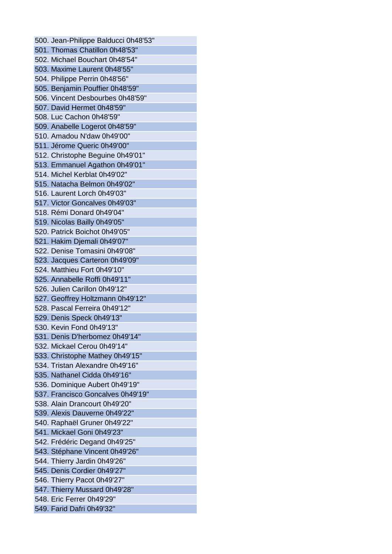500. Jean-Philippe Balducci 0h48'53" 501. Thomas Chatillon 0h48'53" 502. Michael Bouchart 0h48'54" 503. Maxime Laurent 0h48'55" 504. Philippe Perrin 0h48'56" 505. Benjamin Pouffier 0h48'59" 506. Vincent Desbourbes 0h48'59" 507. David Hermet 0h48'59" 508. Luc Cachon 0h48'59" 509. Anabelle Logerot 0h48'59" 510. Amadou N'daw 0h49'00" 511. Jérome Queric 0h49'00" 512. Christophe Beguine 0h49'01" 513. Emmanuel Agathon 0h49'01" 514. Michel Kerblat 0h49'02" 515. Natacha Belmon 0h49'02" 516. Laurent Lorch 0h49'03" 517. Victor Goncalves 0h49'03" 518. Rémi Donard 0h49'04" 519. Nicolas Bailly 0h49'05" 520. Patrick Boichot 0h49'05" 521. Hakim Djemali 0h49'07" 522. Denise Tomasini 0h49'08" 523. Jacques Carteron 0h49'09" 524. Matthieu Fort 0h49'10" 525. Annabelle Roffi 0h49'11" 526. Julien Carillon 0h49'12" 527. Geoffrey Holtzmann 0h49'12" 528. Pascal Ferreira 0h49'12" 529. Denis Speck 0h49'13" 530. Kevin Fond 0h49'13" 531. Denis D'herbomez 0h49'14" 532. Mickael Cerou 0h49'14" 533. Christophe Mathey 0h49'15" 534. Tristan Alexandre 0h49'16" 535. Nathanel Cidda 0h49'16" 536. Dominique Aubert 0h49'19" 537. Francisco Goncalves 0h49'19" 538. Alain Drancourt 0h49'20" 539. Alexis Dauverne 0h49'22" 540. Raphaël Gruner 0h49'22" 541. Mickael Goni 0h49'23" 542. Frédéric Degand 0h49'25" 543. Stéphane Vincent 0h49'26" 544. Thierry Jardin 0h49'26" 545. Denis Cordier 0h49'27" 546. Thierry Pacot 0h49'27" 547. Thierry Mussard 0h49'28" 548. Eric Ferrer 0h49'29" 549. Farid Dafri 0h49'32"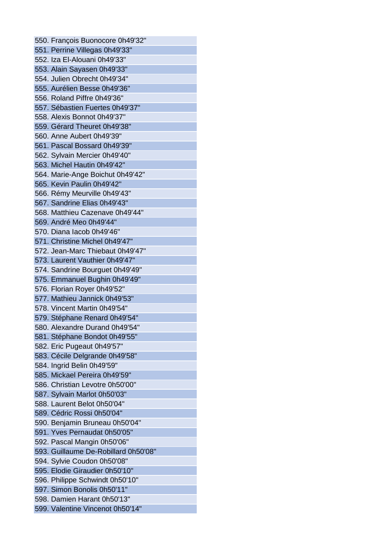550. François Buonocore 0h49'32" 551. Perrine Villegas 0h49'33" 552. Iza El-Alouani 0h49'33" 553. Alain Sayasen 0h49'33" 554. Julien Obrecht 0h49'34" 555. Aurélien Besse 0h49'36" 556. Roland Piffre 0h49'36" 557. Sébastien Fuertes 0h49'37" 558. Alexis Bonnot 0h49'37" 559. Gérard Theuret 0h49'38" 560. Anne Aubert 0h49'39" 561. Pascal Bossard 0h49'39" 562. Sylvain Mercier 0h49'40" 563. Michel Hautin 0h49'42" 564. Marie-Ange Boichut 0h49'42" 565. Kevin Paulin 0h49'42" 566. Rémy Meurville 0h49'43" 567. Sandrine Elias 0h49'43" 568. Matthieu Cazenave 0h49'44" 569. André Meo 0h49'44" 570. Diana Iacob 0h49'46" 571. Christine Michel 0h49'47" 572. Jean-Marc Thiebaut 0h49'47" 573. Laurent Vauthier 0h49'47" 574. Sandrine Bourguet 0h49'49" 575. Emmanuel Bughin 0h49'49" 576. Florian Royer 0h49'52" 577. Mathieu Jannick 0h49'53" 578. Vincent Martin 0h49'54" 579. Stéphane Renard 0h49'54" 580. Alexandre Durand 0h49'54" 581. Stéphane Bondot 0h49'55" 582. Eric Pugeaut 0h49'57" 583. Cécile Delgrande 0h49'58" 584. Ingrid Belin 0h49'59" 585. Mickael Pereira 0h49'59" 586. Christian Levotre 0h50'00" 587. Sylvain Marlot 0h50'03" 588. Laurent Belot 0h50'04" 589. Cédric Rossi 0h50'04" 590. Benjamin Bruneau 0h50'04" 591. Yves Pernaudat 0h50'05" 592. Pascal Mangin 0h50'06" 593. Guillaume De-Robillard 0h50'08" 594. Sylvie Coudon 0h50'08" 595. Elodie Giraudier 0h50'10" 596. Philippe Schwindt 0h50'10" 597. Simon Bonolis 0h50'11" 598. Damien Harant 0h50'13" 599. Valentine Vincenot 0h50'14"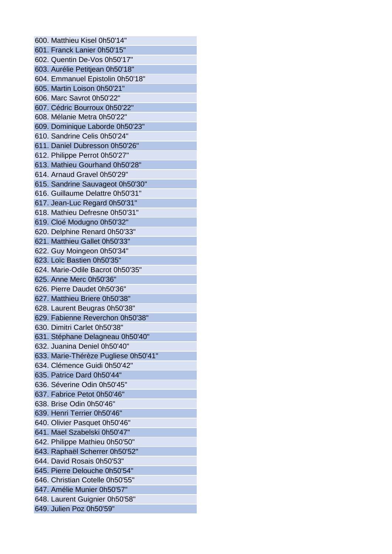600. Matthieu Kisel 0h50'14" 601. Franck Lanier 0h50'15" 602. Quentin De-Vos 0h50'17" 603. Aurélie Petitjean 0h50'18" 604. Emmanuel Epistolin 0h50'18" 605. Martin Loison 0h50'21" 606. Marc Savrot 0h50'22" 607. Cédric Bourroux 0h50'22" 608. Mélanie Metra 0h50'22" 609. Dominique Laborde 0h50'23" 610. Sandrine Celis 0h50'24" 611. Daniel Dubresson 0h50'26" 612. Philippe Perrot 0h50'27" 613. Mathieu Gourhand 0h50'28" 614. Arnaud Gravel 0h50'29" 615. Sandrine Sauvageot 0h50'30" 616. Guillaume Delattre 0h50'31" 617. Jean-Luc Regard 0h50'31" 618. Mathieu Defresne 0h50'31" 619. Cloé Modugno 0h50'32" 620. Delphine Renard 0h50'33" 621. Matthieu Gallet 0h50'33" 622. Guy Moingeon 0h50'34" 623. Loïc Bastien 0h50'35" 624. Marie-Odile Bacrot 0h50'35" 625. Anne Merc 0h50'36" 626. Pierre Daudet 0h50'36" 627. Matthieu Briere 0h50'38" 628. Laurent Beugras 0h50'38" 629. Fabienne Reverchon 0h50'38" 630. Dimitri Carlet 0h50'38" 631. Stéphane Delagneau 0h50'40" 632. Juanina Deniel 0h50'40" 633. Marie-Thérèze Pugliese 0h50'41" 634. Clémence Guidi 0h50'42" 635. Patrice Dard 0h50'44" 636. Séverine Odin 0h50'45" 637. Fabrice Petot 0h50'46" 638. Brise Odin 0h50'46" 639. Henri Terrier 0h50'46" 640. Olivier Pasquet 0h50'46" 641. Mael Szabelski 0h50'47" 642. Philippe Mathieu 0h50'50" 643. Raphaël Scherrer 0h50'52" 644. David Rosais 0h50'53" 645. Pierre Delouche 0h50'54" 646. Christian Cotelle 0h50'55" 647. Amélie Munier 0h50'57" 648. Laurent Guignier 0h50'58" 649. Julien Poz 0h50'59"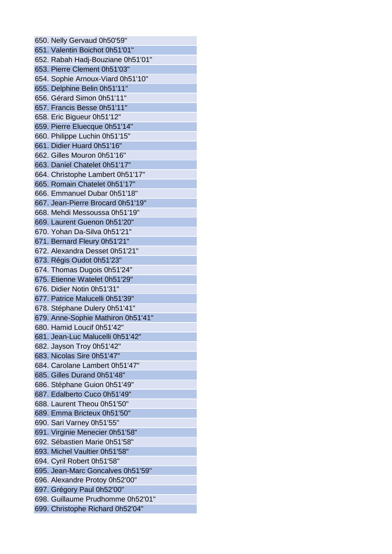650. Nelly Gervaud 0h50'59" 651. Valentin Boichot 0h51'01" 652. Rabah Hadj-Bouziane 0h51'01" 653. Pierre Clement 0h51'03" 654. Sophie Arnoux-Viard 0h51'10" 655. Delphine Belin 0h51'11" 656. Gérard Simon 0h51'11" 657. Francis Besse 0h51'11" 658. Eric Bigueur 0h51'12" 659. Pierre Eluecque 0h51'14" 660. Philippe Luchin 0h51'15" 661. Didier Huard 0h51'16" 662. Gilles Mouron 0h51'16" 663. Daniel Chatelet 0h51'17" 664. Christophe Lambert 0h51'17" 665. Romain Chatelet 0h51'17" 666. Emmanuel Dubar 0h51'18" 667. Jean-Pierre Brocard 0h51'19" 668. Mehdi Messoussa 0h51'19" 669. Laurent Guenon 0h51'20" 670. Yohan Da-Silva 0h51'21" 671. Bernard Fleury 0h51'21" 672. Alexandra Desset 0h51'21" 673. Régis Oudot 0h51'23" 674. Thomas Dugois 0h51'24" 675. Etienne Watelet 0h51'29" 676. Didier Notin 0h51'31" 677. Patrice Malucelli 0h51'39" 678. Stéphane Dulery 0h51'41" 679. Anne-Sophie Mathiron 0h51'41" 680. Hamid Loucif 0h51'42" 681. Jean-Luc Malucelli 0h51'42" 682. Jayson Troy 0h51'42" 683. Nicolas Sire 0h51'47" 684. Carolane Lambert 0h51'47" 685. Gilles Durand 0h51'48" 686. Stéphane Guion 0h51'49" 687. Edalberto Cuco 0h51'49" 688. Laurent Theou 0h51'50" 689. Emma Bricteux 0h51'50" 690. Sari Varney 0h51'55" 691. Virginie Menecier 0h51'58" 692. Sébastien Marie 0h51'58" 693. Michel Vaultier 0h51'58" 694. Cyril Robert 0h51'58" 695. Jean-Marc Goncalves 0h51'59" 696. Alexandre Protoy 0h52'00" 697. Grégory Paul 0h52'00" 698. Guillaume Prudhomme 0h52'01" 699. Christophe Richard 0h52'04"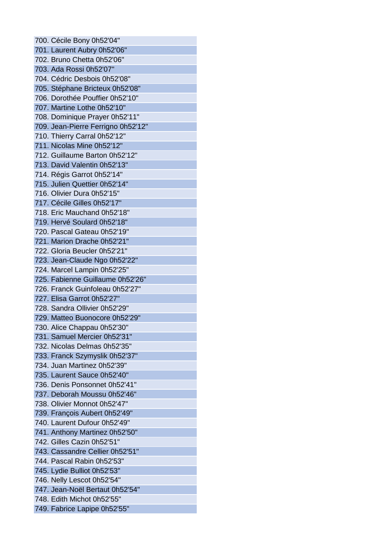700. Cécile Bony 0h52'04" 701. Laurent Aubry 0h52'06" 702. Bruno Chetta 0h52'06" 703. Ada Rossi 0h52'07" 704. Cédric Desbois 0h52'08" 705. Stéphane Bricteux 0h52'08" 706. Dorothée Pouffier 0h52'10" 707. Martine Lothe 0h52'10" 708. Dominique Prayer 0h52'11" 709. Jean-Pierre Ferrigno 0h52'12" 710. Thierry Carral 0h52'12" 711. Nicolas Mine 0h52'12" 712. Guillaume Barton 0h52'12" 713. David Valentin 0h52'13" 714. Régis Garrot 0h52'14" 715. Julien Quettier 0h52'14" 716. Olivier Dura 0h52'15" 717. Cécile Gilles 0h52'17" 718. Eric Mauchand 0h52'18" 719. Hervé Soulard 0h52'18" 720. Pascal Gateau 0h52'19" 721. Marion Drache 0h52'21" 722. Gloria Beucler 0h52'21" 723. Jean-Claude Ngo 0h52'22" 724. Marcel Lampin 0h52'25" 725. Fabienne Guillaume 0h52'26" 726. Franck Guinfoleau 0h52'27" 727. Elisa Garrot 0h52'27" 728. Sandra Ollivier 0h52'29" 729. Matteo Buonocore 0h52'29" 730. Alice Chappau 0h52'30" 731. Samuel Mercier 0h52'31" 732. Nicolas Delmas 0h52'35" 733. Franck Szymyslik 0h52'37" 734. Juan Martinez 0h52'39" 735. Laurent Sauce 0h52'40" 736. Denis Ponsonnet 0h52'41" 737. Deborah Moussu 0h52'46" 738. Olivier Monnot 0h52'47" 739. François Aubert 0h52'49" 740. Laurent Dufour 0h52'49" 741. Anthony Martinez 0h52'50" 742. Gilles Cazin 0h52'51" 743. Cassandre Cellier 0h52'51" 744. Pascal Rabin 0h52'53" 745. Lydie Bulliot 0h52'53" 746. Nelly Lescot 0h52'54" 747. Jean-Noël Bertaut 0h52'54" 748. Edith Michot 0h52'55" 749. Fabrice Lapipe 0h52'55"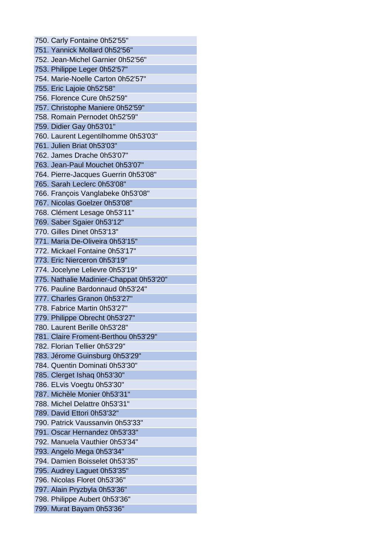750. Carly Fontaine 0h52'55" 751. Yannick Mollard 0h52'56" 752. Jean-Michel Garnier 0h52'56" 753. Philippe Leger 0h52'57" 754. Marie-Noelle Carton 0h52'57" 755. Eric Lajoie 0h52'58" 756. Florence Cure 0h52'59" 757. Christophe Maniere 0h52'59" 758. Romain Pernodet 0h52'59" 759. Didier Gay 0h53'01" 760. Laurent Legentilhomme 0h53'03" 761. Julien Briat 0h53'03" 762. James Drache 0h53'07" 763. Jean-Paul Mouchet 0h53'07" 764. Pierre-Jacques Guerrin 0h53'08" 765. Sarah Leclerc 0h53'08" 766. François Vanglabeke 0h53'08" 767. Nicolas Goelzer 0h53'08" 768. Clément Lesage 0h53'11" 769. Saber Sgaier 0h53'12" 770. Gilles Dinet 0h53'13" 771. Maria De-Oliveira 0h53'15" 772. Mickael Fontaine 0h53'17" 773. Eric Nierceron 0h53'19" 774. Jocelyne Lelievre 0h53'19" 775. Nathalie Madinier-Chappat 0h53'20" 776. Pauline Bardonnaud 0h53'24" 777. Charles Granon 0h53'27" 778. Fabrice Martin 0h53'27" 779. Philippe Obrecht 0h53'27" 780. Laurent Berille 0h53'28" 781. Claire Froment-Berthou 0h53'29" 782. Florian Tellier 0h53'29" 783. Jérome Guinsburg 0h53'29" 784. Quentin Dominati 0h53'30" 785. Clerget Ishaq 0h53'30" 786. ELvis Voegtu 0h53'30" 787. Michèle Monier 0h53'31" 788. Michel Delattre 0h53'31" 789. David Ettori 0h53'32" 790. Patrick Vaussanvin 0h53'33" 791. Oscar Hernandez 0h53'33" 792. Manuela Vauthier 0h53'34" 793. Angelo Mega 0h53'34" 794. Damien Boisselet 0h53'35" 795. Audrey Laguet 0h53'35" 796. Nicolas Floret 0h53'36" 797. Alain Pryzbyla 0h53'36" 798. Philippe Aubert 0h53'36" 799. Murat Bayam 0h53'36"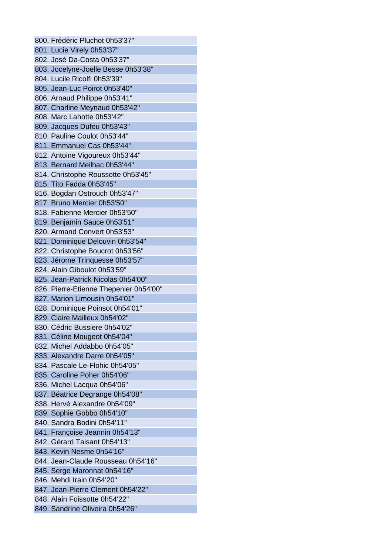800. Frédéric Pluchot 0h53'37" 801. Lucie Virely 0h53'37" 802. José Da-Costa 0h53'37" 803. Jocelyne-Joelle Besse 0h53'38" 804. Lucile Ricolfi 0h53'39" 805. Jean-Luc Poirot 0h53'40" 806. Arnaud Philippe 0h53'41" 807. Charline Meynaud 0h53'42" 808. Marc Lahotte 0h53'42" 809. Jacques Dufeu 0h53'43" 810. Pauline Coulot 0h53'44" 811. Emmanuel Cas 0h53'44" 812. Antoine Vigoureux 0h53'44" 813. Bernard Meilhac 0h53'44" 814. Christophe Roussotte 0h53'45" 815. Tito Fadda 0h53'45" 816. Bogdan Ostrouch 0h53'47" 817. Bruno Mercier 0h53'50" 818. Fabienne Mercier 0h53'50" 819. Benjamin Sauce 0h53'51" 820. Armand Convert 0h53'53" 821. Dominique Delouvin 0h53'54" 822. Christophe Boucrot 0h53'56" 823. Jérome Trinquesse 0h53'57" 824. Alain Giboulot 0h53'59" 825. Jean-Patrick Nicolas 0h54'00" 826. Pierre-Etienne Thepenier 0h54'00" 827. Marion Limousin 0h54'01" 828. Dominique Poinsot 0h54'01" 829. Claire Mailleux 0h54'02" 830. Cédric Bussiere 0h54'02" 831. Céline Mougeot 0h54'04" 832. Michel Addabbo 0h54'05" 833. Alexandre Darre 0h54'05" 834. Pascale Le-Flohic 0h54'05" 835. Caroline Poher 0h54'06" 836. Michel Lacqua 0h54'06" 837. Béatrice Degrange 0h54'08" 838. Hervé Alexandre 0h54'09" 839. Sophie Gobbo 0h54'10" 840. Sandra Bodini 0h54'11" 841. Françoise Jeannin 0h54'13" 842. Gérard Taisant 0h54'13" 843. Kevin Nesme 0h54'16" 844. Jean-Claude Rousseau 0h54'16" 845. Serge Maronnat 0h54'16" 846. Mehdi Irain 0h54'20" 847. Jean-Pierre Clement 0h54'22" 848. Alain Foissotte 0h54'22" 849. Sandrine Oliveira 0h54'26"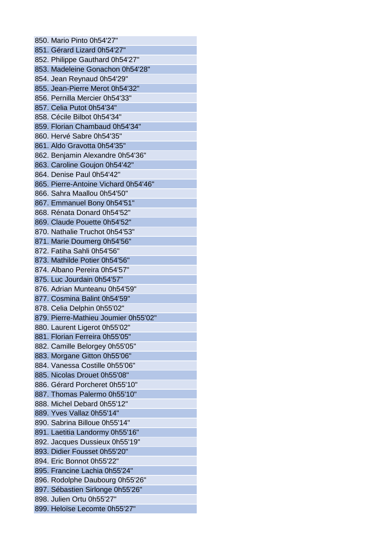850. Mario Pinto 0h54'27" 851. Gérard Lizard 0h54'27" 852. Philippe Gauthard 0h54'27" 853. Madeleine Gonachon 0h54'28" 854. Jean Reynaud 0h54'29" 855. Jean-Pierre Merot 0h54'32" 856. Pernilla Mercier 0h54'33" 857. Celia Putot 0h54'34" 858. Cécile Bilbot 0h54'34" 859. Florian Chambaud 0h54'34" 860. Hervé Sabre 0h54'35" 861. Aldo Gravotta 0h54'35" 862. Benjamin Alexandre 0h54'36" 863. Caroline Goujon 0h54'42" 864. Denise Paul 0h54'42" 865. Pierre-Antoine Vichard 0h54'46" 866. Sahra Maallou 0h54'50" 867. Emmanuel Bony 0h54'51" 868. Rénata Donard 0h54'52" 869. Claude Pouette 0h54'52" 870. Nathalie Truchot 0h54'53" 871. Marie Doumerg 0h54'56" 872. Fatiha Sahli 0h54'56" 873. Mathilde Potier 0h54'56" 874. Albano Pereira 0h54'57" 875. Luc Jourdain 0h54'57" 876. Adrian Munteanu 0h54'59" 877. Cosmina Balint 0h54'59" 878. Celia Delphin 0h55'02" 879. Pierre-Mathieu Joumier 0h55'02" 880. Laurent Ligerot 0h55'02" 881. Florian Ferreira 0h55'05" 882. Camille Belorgey 0h55'05" 883. Morgane Gitton 0h55'06" 884. Vanessa Costille 0h55'06" 885. Nicolas Drouet 0h55'08" 886. Gérard Porcheret 0h55'10" 887. Thomas Palermo 0h55'10" 888. Michel Debard 0h55'12" 889. Yves Vallaz 0h55'14" 890. Sabrina Billoue 0h55'14" 891. Laetitia Landormy 0h55'16" 892. Jacques Dussieux 0h55'19" 893. Didier Fousset 0h55'20" 894. Eric Bonnot 0h55'22" 895. Francine Lachia 0h55'24" 896. Rodolphe Daubourg 0h55'26" 897. Sébastien Sirlonge 0h55'26" 898. Julien Ortu 0h55'27" 899. Heloïse Lecomte 0h55'27"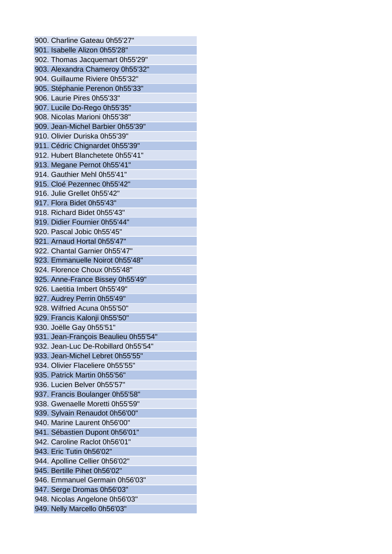900. Charline Gateau 0h55'27" 901. Isabelle Alizon 0h55'28" 902. Thomas Jacquemart 0h55'29" 903. Alexandra Chameroy 0h55'32" 904. Guillaume Riviere 0h55'32" 905. Stéphanie Perenon 0h55'33" 906. Laurie Pires 0h55'33" 907. Lucile Do-Rego 0h55'35" 908. Nicolas Marioni 0h55'38" 909. Jean-Michel Barbier 0h55'39" 910. Olivier Duriska 0h55'39" 911. Cédric Chignardet 0h55'39" 912. Hubert Blanchetete 0h55'41" 913. Megane Pernot 0h55'41" 914. Gauthier Mehl 0h55'41" 915. Cloé Pezennec 0h55'42" 916. Julie Grellet 0h55'42" 917. Flora Bidet 0h55'43" 918. Richard Bidet 0h55'43" 919. Didier Fournier 0h55'44" 920. Pascal Jobic 0h55'45" 921. Arnaud Hortal 0h55'47" 922. Chantal Garnier 0h55'47" 923. Emmanuelle Noirot 0h55'48" 924. Florence Choux 0h55'48" 925. Anne-France Bissey 0h55'49" 926. Laetitia Imbert 0h55'49" 927. Audrey Perrin 0h55'49" 928. Wilfried Acuna 0h55'50" 929. Francis Kalonji 0h55'50" 930. Joëlle Gay 0h55'51" 931. Jean-François Beaulieu 0h55'54" 932. Jean-Luc De-Robillard 0h55'54" 933. Jean-Michel Lebret 0h55'55" 934. Olivier Flaceliere 0h55'55" 935. Patrick Martin 0h55'56" 936. Lucien Belver 0h55'57" 937. Francis Boulanger 0h55'58" 938. Gwenaelle Moretti 0h55'59" 939. Sylvain Renaudot 0h56'00" 940. Marine Laurent 0h56'00" 941. Sébastien Dupont 0h56'01" 942. Caroline Raclot 0h56'01" 943. Eric Tutin 0h56'02" 944. Apolline Cellier 0h56'02" 945. Bertille Pihet 0h56'02" 946. Emmanuel Germain 0h56'03" 947. Serge Dromas 0h56'03" 948. Nicolas Angelone 0h56'03" 949. Nelly Marcello 0h56'03"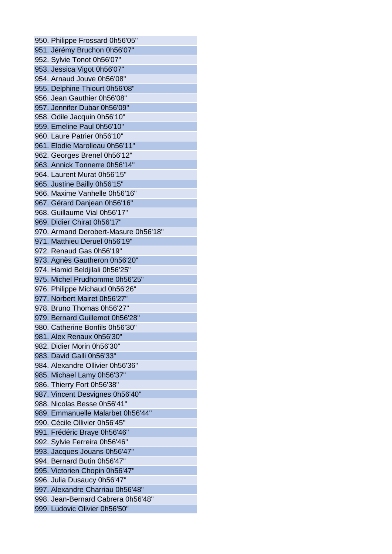950. Philippe Frossard 0h56'05" 951. Jérémy Bruchon 0h56'07" 952. Sylvie Tonot 0h56'07" 953. Jessica Vigot 0h56'07" 954. Arnaud Jouve 0h56'08" 955. Delphine Thiourt 0h56'08" 956. Jean Gauthier 0h56'08" 957. Jennifer Dubar 0h56'09" 958. Odile Jacquin 0h56'10" 959. Emeline Paul 0h56'10" 960. Laure Patrier 0h56'10" 961. Elodie Marolleau 0h56'11" 962. Georges Brenel 0h56'12" 963. Annick Tonnerre 0h56'14" 964. Laurent Murat 0h56'15" 965. Justine Bailly 0h56'15" 966. Maxime Vanhelle 0h56'16" 967. Gérard Danjean 0h56'16" 968. Guillaume Vial 0h56'17" 969. Didier Chirat 0h56'17" 970. Armand Derobert-Masure 0h56'18" 971. Matthieu Deruel 0h56'19" 972. Renaud Gas 0h56'19" 973. Agnès Gautheron 0h56'20" 974. Hamid Beldjilali 0h56'25" 975. Michel Prudhomme 0h56'25" 976. Philippe Michaud 0h56'26" 977. Norbert Mairet 0h56'27" 978. Bruno Thomas 0h56'27" 979. Bernard Guillemot 0h56'28" 980. Catherine Bonfils 0h56'30" 981. Alex Renaux 0h56'30" 982. Didier Morin 0h56'30" 983. David Galli 0h56'33" 984. Alexandre Ollivier 0h56'36" 985. Michael Lamy 0h56'37" 986. Thierry Fort 0h56'38" 987. Vincent Desvignes 0h56'40" 988. Nicolas Besse 0h56'41" 989. Emmanuelle Malarbet 0h56'44" 990. Cécile Ollivier 0h56'45" 991. Frédéric Braye 0h56'46" 992. Sylvie Ferreira 0h56'46" 993. Jacques Jouans 0h56'47" 994. Bernard Butin 0h56'47" 995. Victorien Chopin 0h56'47" 996. Julia Dusaucy 0h56'47" 997. Alexandre Charriau 0h56'48" 998. Jean-Bernard Cabrera 0h56'48" 999. Ludovic Olivier 0h56'50"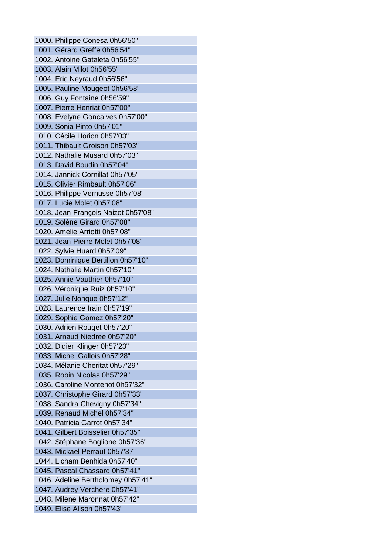1000. Philippe Conesa 0h56'50" 1001. Gérard Greffe 0h56'54" 1002. Antoine Gataleta 0h56'55" 1003. Alain Milot 0h56'55" 1004. Eric Neyraud 0h56'56" 1005. Pauline Mougeot 0h56'58" 1006. Guy Fontaine 0h56'59" 1007. Pierre Henriat 0h57'00" 1008. Evelyne Goncalves 0h57'00" 1009. Sonia Pinto 0h57'01" 1010. Cécile Horion 0h57'03" 1011. Thibault Groison 0h57'03" 1012. Nathalie Musard 0h57'03" 1013. David Boudin 0h57'04" 1014. Jannick Cornillat 0h57'05" 1015. Olivier Rimbault 0h57'06" 1016. Philippe Vernusse 0h57'08" 1017. Lucie Molet 0h57'08" 1018. Jean-François Naizot 0h57'08" 1019. Solène Girard 0h57'08" 1020. Amélie Arriotti 0h57'08" 1021. Jean-Pierre Molet 0h57'08" 1022. Sylvie Huard 0h57'09" 1023. Dominique Bertillon 0h57'10" 1024. Nathalie Martin 0h57'10" 1025. Annie Vauthier 0h57'10" 1026. Véronique Ruiz 0h57'10" 1027. Julie Nonque 0h57'12" 1028. Laurence Irain 0h57'19" 1029. Sophie Gomez 0h57'20" 1030. Adrien Rouget 0h57'20" 1031. Arnaud Niedree 0h57'20" 1032. Didier Klinger 0h57'23" 1033. Michel Gallois 0h57'28" 1034. Mélanie Cheritat 0h57'29" 1035. Robin Nicolas 0h57'29" 1036. Caroline Montenot 0h57'32" 1037. Christophe Girard 0h57'33" 1038. Sandra Chevigny 0h57'34" 1039. Renaud Michel 0h57'34" 1040. Patricia Garrot 0h57'34" 1041. Gilbert Boisselier 0h57'35" 1042. Stéphane Boglione 0h57'36" 1043. Mickael Perraut 0h57'37" 1044. Licham Benhida 0h57'40" 1045. Pascal Chassard 0h57'41" 1046. Adeline Bertholomey 0h57'41" 1047. Audrey Verchere 0h57'41" 1048. Milene Maronnat 0h57'42" 1049. Elise Alison 0h57'43"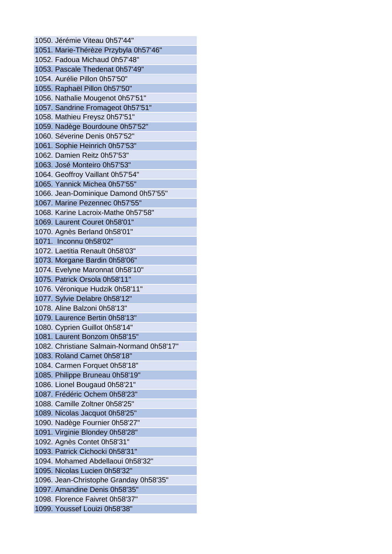1050. Jérémie Viteau 0h57'44" 1051. Marie-Thérèze Przybyla 0h57'46" 1052. Fadoua Michaud 0h57'48" 1053. Pascale Thedenat 0h57'49" 1054. Aurélie Pillon 0h57'50" 1055. Raphaël Pillon 0h57'50" 1056. Nathalie Mougenot 0h57'51" 1057. Sandrine Fromageot 0h57'51" 1058. Mathieu Freysz 0h57'51" 1059. Nadège Bourdoune 0h57'52" 1060. Séverine Denis 0h57'52" 1061. Sophie Heinrich 0h57'53" 1062. Damien Reitz 0h57'53" 1063. José Monteiro 0h57'53" 1064. Geoffroy Vaillant 0h57'54" 1065. Yannick Michea 0h57'55" 1066. Jean-Dominique Damond 0h57'55" 1067. Marine Pezennec 0h57'55" 1068. Karine Lacroix-Mathe 0h57'58" 1069. Laurent Couret 0h58'01" 1070. Agnès Berland 0h58'01" 1071. Inconnu 0h58'02" 1072. Laetitia Renault 0h58'03" 1073. Morgane Bardin 0h58'06" 1074. Evelyne Maronnat 0h58'10" 1075. Patrick Orsola 0h58'11" 1076. Véronique Hudzik 0h58'11" 1077. Sylvie Delabre 0h58'12" 1078. Aline Balzoni 0h58'13" 1079. Laurence Bertin 0h58'13" 1080. Cyprien Guillot 0h58'14" 1081. Laurent Bonzom 0h58'15" 1082. Christiane Salmain-Normand 0h58'17" 1083. Roland Carnet 0h58'18" 1084. Carmen Forquet 0h58'18" 1085. Philippe Bruneau 0h58'19" 1086. Lionel Bougaud 0h58'21" 1087. Frédéric Ochem 0h58'23" 1088. Camille Zoltner 0h58'25" 1089. Nicolas Jacquot 0h58'25" 1090. Nadège Fournier 0h58'27" 1091. Virginie Blondey 0h58'28" 1092. Agnès Contet 0h58'31" 1093. Patrick Cichocki 0h58'31" 1094. Mohamed Abdellaoui 0h58'32" 1095. Nicolas Lucien 0h58'32" 1096. Jean-Christophe Granday 0h58'35" 1097. Amandine Denis 0h58'35" 1098. Florence Faivret 0h58'37" 1099. Youssef Louizi 0h58'38"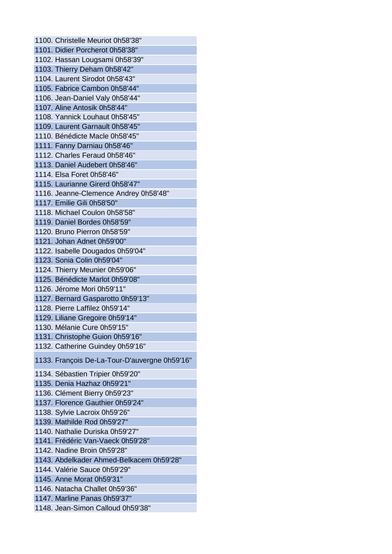1100. Christelle Meuriot 0h58'38" 1101. Didier Porcherot 0h58'38" 1102. Hassan Lougsami 0h58'39" 1103. Thierry Deham 0h58'42" 1104. Laurent Sirodot 0h58'43" 1105. Fabrice Cambon 0h58'44" 1106. Jean-Daniel Valy 0h58'44" 1107. Aline Antosik 0h58'44" 1108. Yannick Louhaut 0h58'45" 1109. Laurent Garnault 0h58'45" 1110. Bénédicte Macle 0h58'45" 1111. Fanny Darniau 0h58'46" 1112. Charles Feraud 0h58'46" 1113. Daniel Audebert 0h58'46" 1114. Elsa Foret 0h58'46" 1115. Laurianne Girerd 0h58'47" 1116. Jeanne-Clemence Andrey 0h58'48" 1117. Emilie Gili 0h58'50" 1118. Michael Coulon 0h58'58" 1119. Daniel Bordes 0h58'59" 1120. Bruno Pierron 0h58'59" 1121. Johan Adnet 0h59'00" 1122. Isabelle Dougados 0h59'04" 1123. Sonia Colin 0h59'04" 1124. Thierry Meunier 0h59'06" 1125. Bénédicte Marlot 0h59'08" 1126. Jérome Mori 0h59'11" 1127. Bernard Gasparotto 0h59'13" 1128. Pierre Laffilez 0h59'14" 1129. Liliane Gregoire 0h59'14" 1130. Mélanie Cure 0h59'15" 1131. Christophe Guion 0h59'16" 1132. Catherine Guindey 0h59'16" 1133. François De-La-Tour-D'auvergne 0h59'16" 1134. Sébastien Tripier 0h59'20" 1135. Denia Hazhaz 0h59'21" 1136. Clément Bierry 0h59'23" 1137. Florence Gauthier 0h59'24" 1138. Sylvie Lacroix 0h59'26" 1139. Mathilde Rod 0h59'27" 1140. Nathalie Duriska 0h59'27" 1141. Frédéric Van-Vaeck 0h59'28" 1142. Nadine Broin 0h59'28" 1143. Abdelkader Ahmed-Belkacem 0h59'28" 1144. Valérie Sauce 0h59'29" 1145. Anne Morat 0h59'31" 1146. Natacha Challet 0h59'36" 1147. Marline Panas 0h59'37" 1148. Jean-Simon Calloud 0h59'38"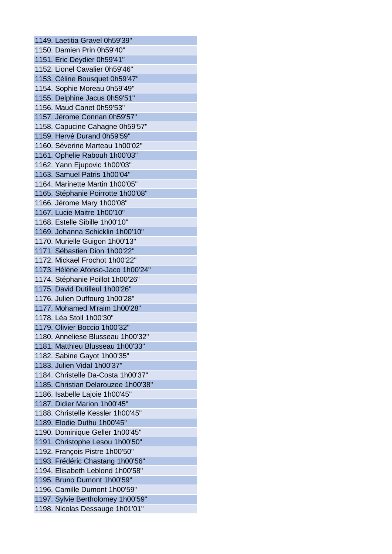1149. Laetitia Gravel 0h59'39" 1150. Damien Prin 0h59'40" 1151. Eric Deydier 0h59'41" 1152. Lionel Cavalier 0h59'46" 1153. Céline Bousquet 0h59'47" 1154. Sophie Moreau 0h59'49" 1155. Delphine Jacus 0h59'51" 1156. Maud Canet 0h59'53" 1157. Jérome Connan 0h59'57" 1158. Capucine Cahagne 0h59'57" 1159. Hervé Durand 0h59'59" 1160. Séverine Marteau 1h00'02" 1161. Ophelie Rabouh 1h00'03" 1162. Yann Ejupovic 1h00'03" 1163. Samuel Patris 1h00'04" 1164. Marinette Martin 1h00'05" 1165. Stéphanie Poirrotte 1h00'08" 1166. Jérome Mary 1h00'08" 1167. Lucie Maitre 1h00'10" 1168. Estelle Sibille 1h00'10" 1169. Johanna Schicklin 1h00'10" 1170. Murielle Guigon 1h00'13" 1171. Sébastien Dion 1h00'22" 1172. Mickael Frochot 1h00'22" 1173. Hélène Afonso-Jaco 1h00'24" 1174. Stéphanie Poillot 1h00'26" 1175. David Dutilleul 1h00'26" 1176. Julien Duffourg 1h00'28" 1177. Mohamed M'raim 1h00'28" 1178. Léa Stoll 1h00'30" 1179. Olivier Boccio 1h00'32" 1180. Anneliese Blusseau 1h00'32" 1181. Matthieu Blusseau 1h00'33" 1182. Sabine Gayot 1h00'35" 1183. Julien Vidal 1h00'37" 1184. Christelle Da-Costa 1h00'37" 1185. Christian Delarouzee 1h00'38" 1186. Isabelle Lajoie 1h00'45" 1187. Didier Marion 1h00'45" 1188. Christelle Kessler 1h00'45" 1189. Elodie Duthu 1h00'45" 1190. Dominique Geller 1h00'45" 1191. Christophe Lesou 1h00'50" 1192. François Pistre 1h00'50" 1193. Frédéric Chastang 1h00'56" 1194. Elisabeth Leblond 1h00'58" 1195. Bruno Dumont 1h00'59" 1196. Camille Dumont 1h00'59" 1197. Sylvie Bertholomey 1h00'59" 1198. Nicolas Dessauge 1h01'01"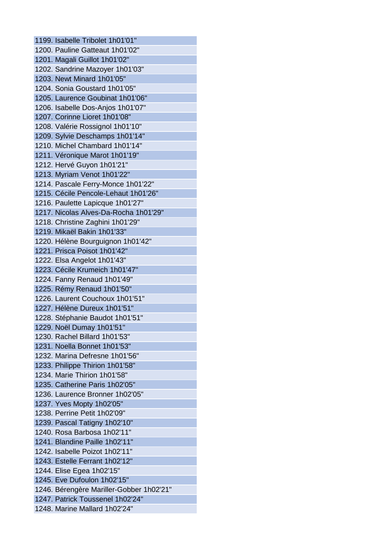1199. Isabelle Tribolet 1h01'01" 1200. Pauline Gatteaut 1h01'02" 1201. Magali Guillot 1h01'02" 1202. Sandrine Mazoyer 1h01'03" 1203. Newt Minard 1h01'05" 1204. Sonia Goustard 1h01'05" 1205. Laurence Goubinat 1h01'06" 1206. Isabelle Dos-Anjos 1h01'07" 1207. Corinne Lioret 1h01'08" 1208. Valérie Rossignol 1h01'10" 1209. Sylvie Deschamps 1h01'14" 1210. Michel Chambard 1h01'14" 1211. Véronique Marot 1h01'19" 1212. Hervé Guyon 1h01'21" 1213. Myriam Venot 1h01'22" 1214. Pascale Ferry-Monce 1h01'22" 1215. Cécile Pencole-Lehaut 1h01'26" 1216. Paulette Lapicque 1h01'27" 1217. Nicolas Alves-Da-Rocha 1h01'29" 1218. Christine Zaghini 1h01'29" 1219. Mikaël Bakin 1h01'33" 1220. Hélène Bourguignon 1h01'42" 1221. Prisca Poisot 1h01'42" 1222. Elsa Angelot 1h01'43" 1223. Cécile Krumeich 1h01'47" 1224. Fanny Renaud 1h01'49" 1225. Rémy Renaud 1h01'50" 1226. Laurent Couchoux 1h01'51" 1227. Hélène Dureux 1h01'51" 1228. Stéphanie Baudot 1h01'51" 1229. Noël Dumay 1h01'51" 1230. Rachel Billard 1h01'53" 1231. Noella Bonnet 1h01'53" 1232. Marina Defresne 1h01'56" 1233. Philippe Thirion 1h01'58" 1234. Marie Thirion 1h01'58" 1235. Catherine Paris 1h02'05" 1236. Laurence Bronner 1h02'05" 1237. Yves Mopty 1h02'05" 1238. Perrine Petit 1h02'09" 1239. Pascal Tatigny 1h02'10" 1240. Rosa Barbosa 1h02'11" 1241. Blandine Paille 1h02'11" 1242. Isabelle Poizot 1h02'11" 1243. Estelle Ferrant 1h02'12" 1244. Elise Egea 1h02'15" 1245. Eve Dufoulon 1h02'15" 1246. Bérengère Mariller-Gobber 1h02'21" 1247. Patrick Toussenel 1h02'24" 1248. Marine Mallard 1h02'24"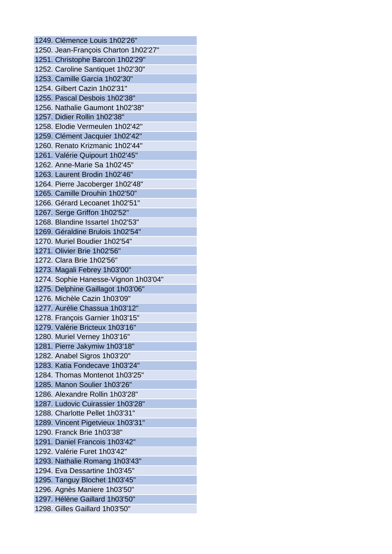1249. Clémence Louis 1h02'26" 1250. Jean-François Charton 1h02'27" 1251. Christophe Barcon 1h02'29" 1252. Caroline Santiquet 1h02'30" 1253. Camille Garcia 1h02'30" 1254. Gilbert Cazin 1h02'31" 1255. Pascal Desbois 1h02'38" 1256. Nathalie Gaumont 1h02'38" 1257. Didier Rollin 1h02'38" 1258. Elodie Vermeulen 1h02'42" 1259. Clément Jacquier 1h02'42" 1260. Renato Krizmanic 1h02'44" 1261. Valérie Quipourt 1h02'45" 1262. Anne-Marie Sa 1h02'45" 1263. Laurent Brodin 1h02'46" 1264. Pierre Jacoberger 1h02'48" 1265. Camille Drouhin 1h02'50" 1266. Gérard Lecoanet 1h02'51" 1267. Serge Griffon 1h02'52" 1268. Blandine Issartel 1h02'53" 1269. Géraldine Brulois 1h02'54" 1270. Muriel Boudier 1h02'54" 1271. Olivier Brie 1h02'56" 1272. Clara Brie 1h02'56" 1273. Magali Febrey 1h03'00" 1274. Sophie Hanesse-Vignon 1h03'04" 1275. Delphine Gaillagot 1h03'06" 1276. Michèle Cazin 1h03'09" 1277. Aurélie Chassua 1h03'12" 1278. François Garnier 1h03'15" 1279. Valérie Bricteux 1h03'16" 1280. Muriel Verney 1h03'16" 1281. Pierre Jakymiw 1h03'18" 1282. Anabel Sigros 1h03'20" 1283. Katia Fondecave 1h03'24" 1284. Thomas Montenot 1h03'25" 1285. Manon Soulier 1h03'26" 1286. Alexandre Rollin 1h03'28" 1287. Ludovic Cuirassier 1h03'28" 1288. Charlotte Pellet 1h03'31" 1289. Vincent Pigetvieux 1h03'31" 1290. Franck Brie 1h03'38" 1291. Daniel Francois 1h03'42" 1292. Valérie Furet 1h03'42" 1293. Nathalie Romang 1h03'43" 1294. Eva Dessartine 1h03'45" 1295. Tanguy Blochet 1h03'45" 1296. Agnès Maniere 1h03'50" 1297. Hélène Gaillard 1h03'50" 1298. Gilles Gaillard 1h03'50"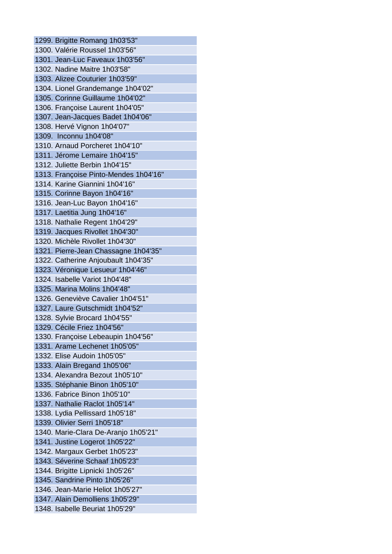1299. Brigitte Romang 1h03'53" 1300. Valérie Roussel 1h03'56" 1301. Jean-Luc Faveaux 1h03'56" 1302. Nadine Maitre 1h03'58" 1303. Alizee Couturier 1h03'59" 1304. Lionel Grandemange 1h04'02" 1305. Corinne Guillaume 1h04'02" 1306. Françoise Laurent 1h04'05" 1307. Jean-Jacques Badet 1h04'06" 1308. Hervé Vignon 1h04'07" 1309. Inconnu 1h04'08" 1310. Arnaud Porcheret 1h04'10" 1311. Jérome Lemaire 1h04'15" 1312. Juliette Berbin 1h04'15" 1313. Françoise Pinto-Mendes 1h04'16" 1314. Karine Giannini 1h04'16" 1315. Corinne Bayon 1h04'16" 1316. Jean-Luc Bayon 1h04'16" 1317. Laetitia Jung 1h04'16" 1318. Nathalie Regent 1h04'29" 1319. Jacques Rivollet 1h04'30" 1320. Michèle Rivollet 1h04'30" 1321. Pierre-Jean Chassagne 1h04'35" 1322. Catherine Anjoubault 1h04'35" 1323. Véronique Lesueur 1h04'46" 1324. Isabelle Variot 1h04'48" 1325. Marina Molins 1h04'48" 1326. Geneviève Cavalier 1h04'51" 1327. Laure Gutschmidt 1h04'52" 1328. Sylvie Brocard 1h04'55" 1329. Cécile Friez 1h04'56" 1330. Françoise Lebeaupin 1h04'56" 1331. Arame Lechenet 1h05'05" 1332. Elise Audoin 1h05'05" 1333. Alain Bregand 1h05'06" 1334. Alexandra Bezout 1h05'10" 1335. Stéphanie Binon 1h05'10" 1336. Fabrice Binon 1h05'10" 1337. Nathalie Raclot 1h05'14" 1338. Lydia Pellissard 1h05'18" 1339. Olivier Serri 1h05'18" 1340. Marie-Clara De-Aranjo 1h05'21" 1341. Justine Logerot 1h05'22" 1342. Margaux Gerbet 1h05'23" 1343. Séverine Schaaf 1h05'23" 1344. Brigitte Lipnicki 1h05'26" 1345. Sandrine Pinto 1h05'26" 1346. Jean-Marie Heliot 1h05'27" 1347. Alain Demolliens 1h05'29" 1348. Isabelle Beuriat 1h05'29"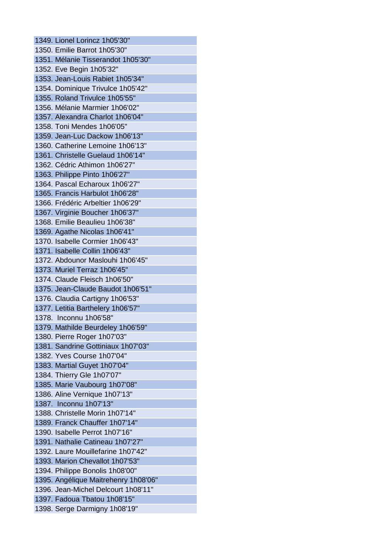1349. Lionel Lorincz 1h05'30" 1350. Emilie Barrot 1h05'30" 1351. Mélanie Tisserandot 1h05'30" 1352. Eve Begin 1h05'32" 1353. Jean-Louis Rabiet 1h05'34" 1354. Dominique Trivulce 1h05'42" 1355. Roland Trivulce 1h05'55" 1356. Mélanie Marmier 1h06'02" 1357. Alexandra Charlot 1h06'04" 1358. Toni Mendes 1h06'05" 1359. Jean-Luc Dackow 1h06'13" 1360. Catherine Lemoine 1h06'13" 1361. Christelle Guelaud 1h06'14" 1362. Cédric Athimon 1h06'27" 1363. Philippe Pinto 1h06'27" 1364. Pascal Echaroux 1h06'27" 1365. Francis Harbulot 1h06'28" 1366. Frédéric Arbeltier 1h06'29" 1367. Virginie Boucher 1h06'37" 1368. Emilie Beaulieu 1h06'38" 1369. Agathe Nicolas 1h06'41" 1370. Isabelle Cormier 1h06'43" 1371. Isabelle Collin 1h06'43" 1372. Abdounor Maslouhi 1h06'45" 1373. Muriel Terraz 1h06'45" 1374. Claude Fleisch 1h06'50" 1375. Jean-Claude Baudot 1h06'51" 1376. Claudia Cartigny 1h06'53" 1377. Letitia Barthelery 1h06'57" 1378. Inconnu 1h06'58" 1379. Mathilde Beurdeley 1h06'59" 1380. Pierre Roger 1h07'03" 1381. Sandrine Gottiniaux 1h07'03" 1382. Yves Course 1h07'04" 1383. Martial Guyet 1h07'04" 1384. Thierry Gle 1h07'07" 1385. Marie Vaubourg 1h07'08" 1386. Aline Vernique 1h07'13" 1387. Inconnu 1h07'13" 1388. Christelle Morin 1h07'14" 1389. Franck Chauffer 1h07'14" 1390. Isabelle Perrot 1h07'16" 1391. Nathalie Catineau 1h07'27" 1392. Laure Mouillefarine 1h07'42" 1393. Marion Chevallot 1h07'53" 1394. Philippe Bonolis 1h08'00" 1395. Angélique Maitrehenry 1h08'06" 1396. Jean-Michel Delcourt 1h08'11" 1397. Fadoua Tbatou 1h08'15" 1398. Serge Darmigny 1h08'19"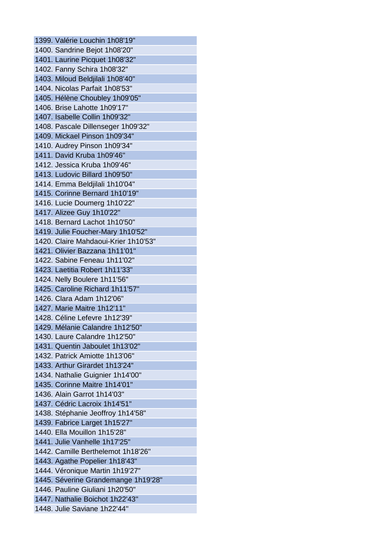1399. Valérie Louchin 1h08'19" 1400. Sandrine Bejot 1h08'20" 1401. Laurine Picquet 1h08'32" 1402. Fanny Schira 1h08'32" 1403. Miloud Beldjilali 1h08'40" 1404. Nicolas Parfait 1h08'53" 1405. Hélène Choubley 1h09'05" 1406. Brise Lahotte 1h09'17" 1407. Isabelle Collin 1h09'32" 1408. Pascale Dillenseger 1h09'32" 1409. Mickael Pinson 1h09'34" 1410. Audrey Pinson 1h09'34" 1411. David Kruba 1h09'46" 1412. Jessica Kruba 1h09'46" 1413. Ludovic Billard 1h09'50" 1414. Emma Beldjilali 1h10'04" 1415. Corinne Bernard 1h10'19" 1416. Lucie Doumerg 1h10'22" 1417. Alizee Guy 1h10'22" 1418. Bernard Lachot 1h10'50" 1419. Julie Foucher-Mary 1h10'52" 1420. Claire Mahdaoui-Krier 1h10'53" 1421. Olivier Bazzana 1h11'01" 1422. Sabine Feneau 1h11'02" 1423. Laetitia Robert 1h11'33" 1424. Nelly Boulere 1h11'56" 1425. Caroline Richard 1h11'57" 1426. Clara Adam 1h12'06" 1427. Marie Maitre 1h12'11" 1428. Céline Lefevre 1h12'39" 1429. Mélanie Calandre 1h12'50" 1430. Laure Calandre 1h12'50" 1431. Quentin Jaboulet 1h13'02" 1432. Patrick Amiotte 1h13'06" 1433. Arthur Girardet 1h13'24" 1434. Nathalie Guignier 1h14'00" 1435. Corinne Maitre 1h14'01" 1436. Alain Garrot 1h14'03" 1437. Cédric Lacroix 1h14'51" 1438. Stéphanie Jeoffroy 1h14'58" 1439. Fabrice Larget 1h15'27" 1440. Ella Mouillon 1h15'28" 1441. Julie Vanhelle 1h17'25" 1442. Camille Berthelemot 1h18'26" 1443. Agathe Popelier 1h18'43" 1444. Véronique Martin 1h19'27" 1445. Séverine Grandemange 1h19'28" 1446. Pauline Giuliani 1h20'50" 1447. Nathalie Boichot 1h22'43'' 1448. Julie Saviane 1h22'44''